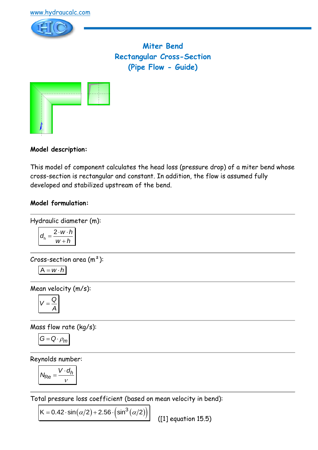

**Miter Bend Rectangular Cross-Section (Pipe Flow - Guide)**



# **Model description:**

This model of component calculates the head loss (pressure drop) of a miter bend whose cross-section is rectangular and constant. In addition, the flow is assumed fully developed and stabilized upstream of the bend.

# **Model formulation:**

Hydraulic diameter (m):

$$
d_h = \frac{2 \cdot w \cdot h}{w + h}
$$

Cross-section area  $(m<sup>2</sup>)$ :  $A = w \cdot h$ 

Mean velocity (m/s):

$$
V=\frac{Q}{A}
$$

Mass flow rate (kg/s):

$$
G=Q\cdot \rho_m
$$

Reynolds number:

$$
N_{\text{Re}} = \frac{V \cdot d_h}{V}
$$

Total pressure loss coefficient (based on mean velocity in bend):

 $K = 0.42 \cdot \sin(\alpha/2) + 2.56 \cdot (\sin^3(\alpha/2))$  $K = 0.42 \cdot \sin(\alpha/2) + 2.56 \cdot (\sin^3(\alpha/2))$ 

([1] equation 15.5)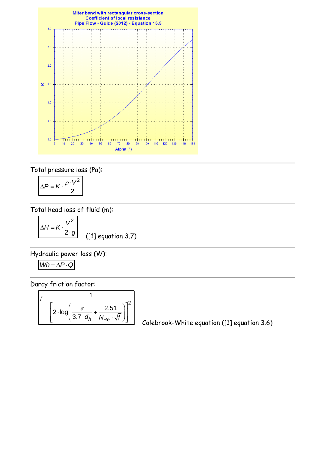

Total pressure loss (Pa):

$$
\Delta P = K \cdot \frac{\rho \cdot V^2}{2}
$$

Total head loss of fluid (m):

$$
\Delta H = K \cdot \frac{V^2}{2 \cdot g} \qquad (1)
$$

([1] equation 3.7)

Hydraulic power loss (W):

$$
Wh = \Delta P \cdot Q
$$

Darcy friction factor:

$$
f = \frac{1}{\left[2 \cdot \log \left(\frac{\varepsilon}{3.7 \cdot d_h} + \frac{2.51}{N_{\text{Re}} \cdot \sqrt{f}}\right)\right]^2}
$$

Colebrook-White equation ([1] equation 3.6)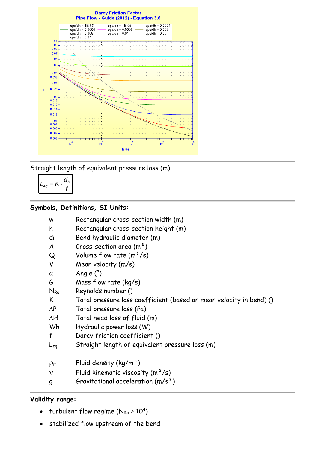

Straight length of equivalent pressure loss (m):

$$
L_{eq} = K \cdot \frac{d_h}{f}
$$

# **Symbols, Definitions, SI Units:**

| W | Rectangular cross-section width (m) |  |  |  |  |
|---|-------------------------------------|--|--|--|--|
|---|-------------------------------------|--|--|--|--|

- h Rectangular cross-section height (m)
- d<sup>h</sup> Bend hydraulic diameter (m)
- $A$  Cross-section area  $(m<sup>2</sup>)$
- $Q$  Volume flow rate  $(m^3/s)$
- V Mean velocity (m/s)
- $\alpha$  Angle (°)
- G Mass flow rate (kg/s)
- NRe Reynolds number ()
- K Total pressure loss coefficient (based on mean velocity in bend) ()
- $\Delta P$  Total pressure loss (Pa)
- $\Delta H$  Total head loss of fluid (m)
- Wh Hydraulic power loss (W)
- f Darcy friction coefficient ()
- Leq Straight length of equivalent pressure loss (m)
- $p_m$  Fluid density (kg/m<sup>3</sup>)
- $v$  Fluid kinematic viscosity  $(m^2/s)$
- g Gravitational acceleration (m/s²)

### **Validity range:**

- turbulent flow regime ( $N_{Re} \ge 10^4$ )
- stabilized flow upstream of the bend